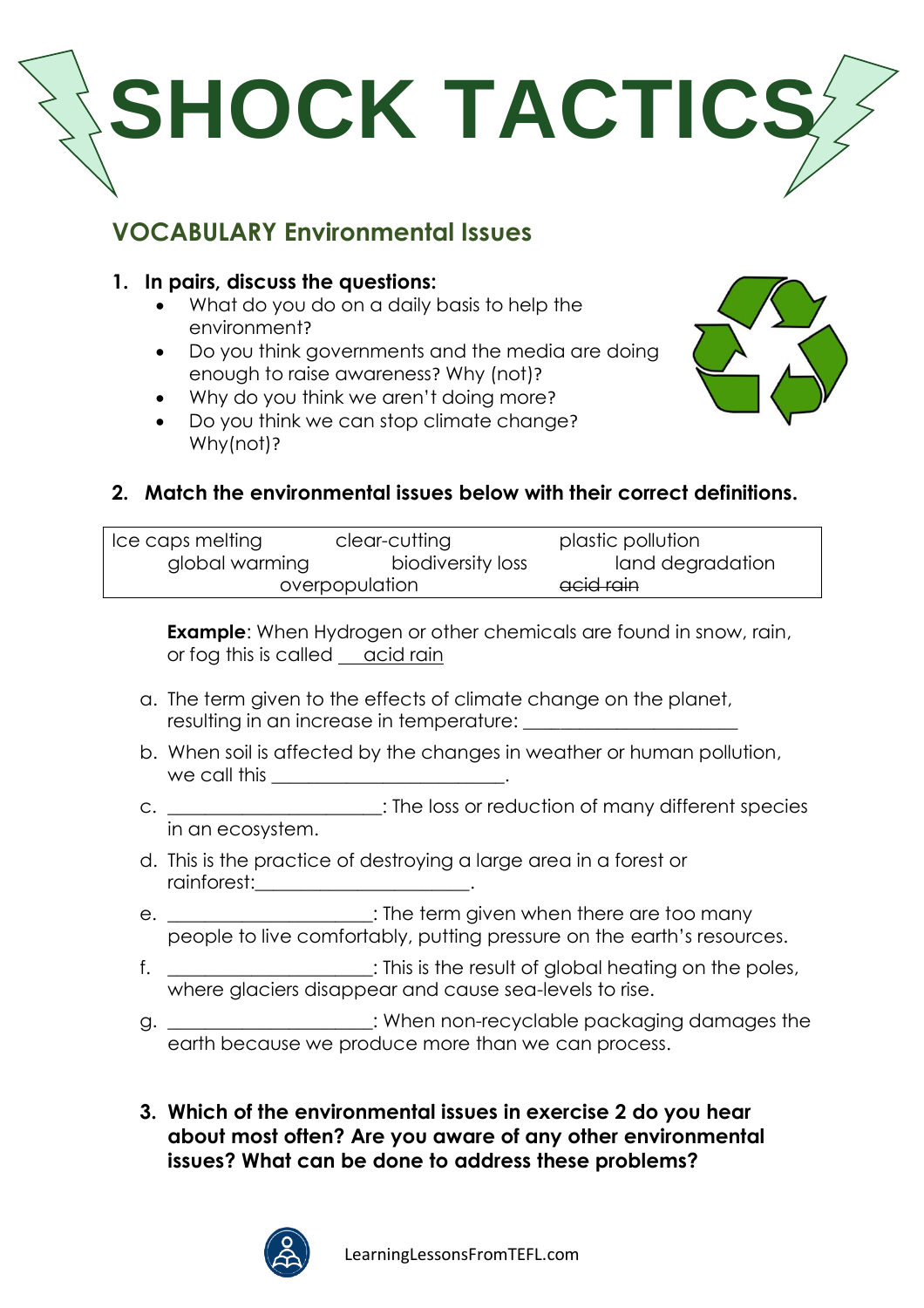

# **VOCABULARY Environmental Issues**

### **1. In pairs, discuss the questions:**

- What do you do on a daily basis to help the environment?
- Do you think governments and the media are doing enough to raise awareness? Why (not)?
- Why do you think we aren't doing more?
- Do you think we can stop climate change? Why(not)?



#### **2. Match the environmental issues below with their correct definitions.**

| Ice caps melting | clear-cutting     | plastic pollution |
|------------------|-------------------|-------------------|
| global warming   | biodiversity loss | land degradation  |
| overpopulation   |                   | acid rain         |

**Example**: When Hydrogen or other chemicals are found in snow, rain, or fog this is called <u>acid rain</u>

- a. The term given to the effects of climate change on the planet, resulting in an increase in temperature: \_\_\_\_\_\_\_\_\_\_\_\_\_\_\_\_\_\_\_\_\_\_\_
- b. When soil is affected by the changes in weather or human pollution, we call this \_\_\_\_\_\_\_\_\_\_\_\_\_\_\_\_\_\_\_\_\_\_\_\_\_.
- c. \_\_\_\_\_\_\_\_\_\_\_\_\_\_\_\_\_\_\_\_\_\_\_: The loss or reduction of many different species in an ecosystem.
- d. This is the practice of destroying a large area in a forest or rainforest:\_\_\_\_\_\_\_\_\_\_\_\_\_\_\_\_\_\_\_\_\_\_\_.
- e.  $\blacksquare$   $\blacksquare$   $\blacksquare$  : The term given when there are too many people to live comfortably, putting pressure on the earth's resources.
- f. \_\_\_\_\_\_\_\_\_\_\_\_\_\_\_\_\_\_\_\_: This is the result of global heating on the poles, where glaciers disappear and cause sea-levels to rise.
- g. \_\_\_\_\_\_\_\_\_\_\_\_\_\_\_\_\_\_\_\_: When non-recyclable packaging damages the earth because we produce more than we can process.
- **3. Which of the environmental issues in exercise 2 do you hear about most often? Are you aware of any other environmental issues? What can be done to address these problems?**

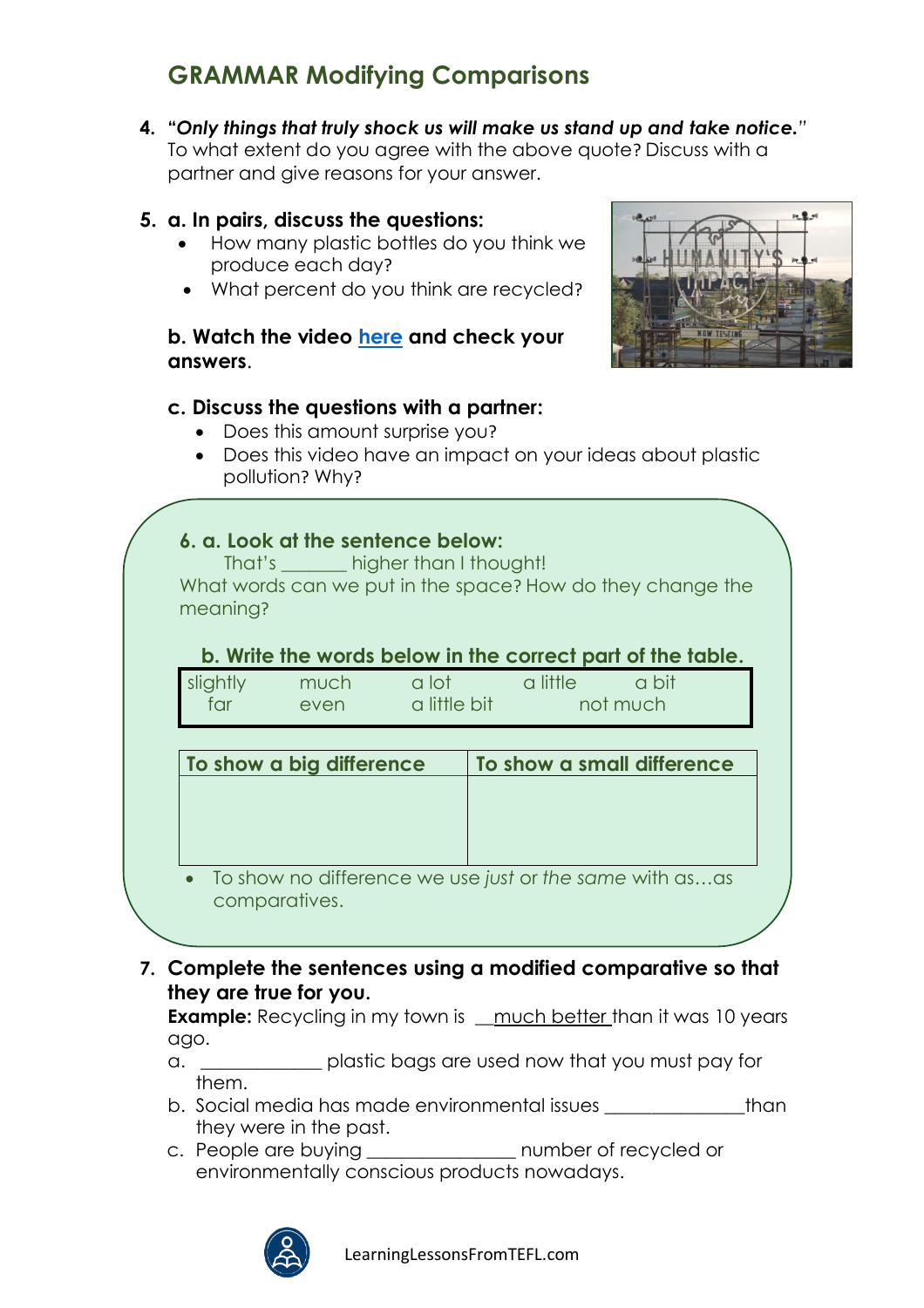# **GRAMMAR Modifying Comparisons**

**4. "***Only things that truly shock us will make us stand up and take notice."* To what extent do you agree with the above quote? Discuss with a partner and give reasons for your answer.

#### **5. a. In pairs, discuss the questions:**

- How many plastic bottles do you think we produce each day?
- What percent do you think are recycled?

#### **b. Watch the video [here](https://vimeo.com/453215291) and check your answers**.

#### **c. Discuss the questions with a partner:**

- Does this amount surprise you?
- Does this video have an impact on your ideas about plastic pollution? Why?

#### **6. a. Look at the sentence below:**

That's higher than I thought! What words can we put in the space? How do they change the meaning?

#### **b. Write the words below in the correct part of the table.**

| slightly | much | a lot        | a little | a bit |  |
|----------|------|--------------|----------|-------|--|
| tar      | even | a little bit | not much |       |  |

| To show a big difference                                                   | To show a small difference |  |
|----------------------------------------------------------------------------|----------------------------|--|
|                                                                            |                            |  |
|                                                                            |                            |  |
|                                                                            |                            |  |
|                                                                            |                            |  |
| • To show no difference we use just or the same with asas<br>comparatives. |                            |  |

**7. Complete the sentences using a modified comparative so that they are true for you.**

**Example:** Recycling in my town is <u>much better</u> than it was 10 years ago.

- a.  $\Box$  plastic bags are used now that you must pay for them.
- b. Social media has made environmental issues \_\_\_\_\_\_\_\_\_\_\_\_\_\_\_than they were in the past.
- c. People are buying \_\_\_\_\_\_\_\_\_\_\_\_\_\_\_\_ number of recycled or environmentally conscious products nowadays.